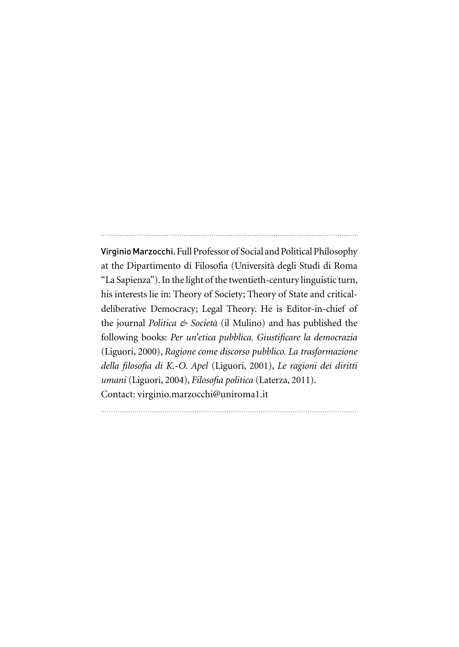Virginio Marzocchi. Full Professor of Social and Political Philosophy at the Dipartimento di Filosofia (Università degli Studi di Roma "La Sapienza"). In the light of the twentieth-century linguistic turn, his interests lie in: Theory of Society; Theory of State and criticaldeliberative Democracy; Legal Theory. He is Editor-in-chief of the journal *Politica & Società* (il Mulino) and has published the following books: *Per un'etica pubblica. Giustificare la democrazia* (Liguori, 2000), *Ragione come discorso pubblico. La trasformazione della filosofia di K.-O. Apel* (Liguori, 2001), *Le ragioni dei diritti umani* (Liguori, 2004), *Filosofia politica* (Laterza, 2011). Contact: virginio.marzocchi@uniroma1.it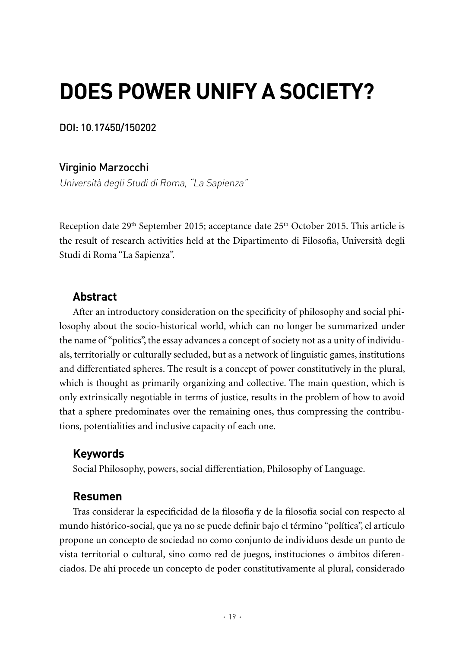# **DOES POWER UNIFY A SOCIETY?**

DOI: 10.17450/150202

Virginio Marzocchi

Università degli Studi di Roma, "La Sapienza"

Reception date 29<sup>th</sup> September 2015; acceptance date 25<sup>th</sup> October 2015. This article is the result of research activities held at the Dipartimento di Filosofia, Università degli Studi di Roma "La Sapienza".

## **Abstract**

After an introductory consideration on the specificity of philosophy and social philosophy about the socio-historical world, which can no longer be summarized under the name of "politics", the essay advances a concept of society not as a unity of individuals, territorially or culturally secluded, but as a network of linguistic games, institutions and differentiated spheres. The result is a concept of power constitutively in the plural, which is thought as primarily organizing and collective. The main question, which is only extrinsically negotiable in terms of justice, results in the problem of how to avoid that a sphere predominates over the remaining ones, thus compressing the contributions, potentialities and inclusive capacity of each one.

## **Keywords**

Social Philosophy, powers, social differentiation, Philosophy of Language.

#### **Resumen**

Tras considerar la especificidad de la filosofía y de la filosofía social con respecto al mundo histórico-social, que ya no se puede definir bajo el término "política", el artículo propone un concepto de sociedad no como conjunto de individuos desde un punto de vista territorial o cultural, sino como red de juegos, instituciones o ámbitos diferenciados. De ahí procede un concepto de poder constitutivamente al plural, considerado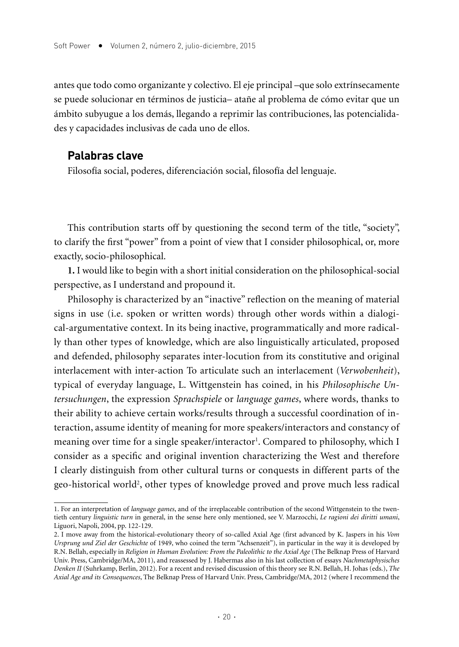antes que todo como organizante y colectivo. El eje principal –que solo extrínsecamente se puede solucionar en términos de justicia– atañe al problema de cómo evitar que un ámbito subyugue a los demás, llegando a reprimir las contribuciones, las potencialidades y capacidades inclusivas de cada uno de ellos.

#### **Palabras clave**

Filosofía social, poderes, diferenciación social, filosofía del lenguaje.

This contribution starts off by questioning the second term of the title, "society", to clarify the first "power" from a point of view that I consider philosophical, or, more exactly, socio-philosophical.

**1.** I would like to begin with a short initial consideration on the philosophical-social perspective, as I understand and propound it.

Philosophy is characterized by an "inactive" reflection on the meaning of material signs in use (i.e. spoken or written words) through other words within a dialogical-argumentative context. In its being inactive, programmatically and more radically than other types of knowledge, which are also linguistically articulated, proposed and defended, philosophy separates inter-locution from its constitutive and original interlacement with inter-action To articulate such an interlacement (*Verwobenheit*), typical of everyday language, L. Wittgenstein has coined, in his *Philosophische Untersuchungen*, the expression *Sprachspiele* or *language games*, where words, thanks to their ability to achieve certain works/results through a successful coordination of interaction, assume identity of meaning for more speakers/interactors and constancy of meaning over time for a single speaker/interactor<sup>1</sup>. Compared to philosophy, which I consider as a specific and original invention characterizing the West and therefore I clearly distinguish from other cultural turns or conquests in different parts of the geo-historical world2 , other types of knowledge proved and prove much less radical

<sup>1.</sup> For an interpretation of *language games*, and of the irreplaceable contribution of the second Wittgenstein to the twentieth century *linguistic turn* in general, in the sense here only mentioned, see V. Marzocchi, *Le ragioni dei diritti umani*, Liguori, Napoli, 2004, pp. 122-129.

<sup>2.</sup> I move away from the historical-evolutionary theory of so-called Axial Age (first advanced by K. Jaspers in his *Vom Ursprung und Ziel der Geschichte* of 1949, who coined the term "Achsenzeit"), in particular in the way it is developed by R.N. Bellah, especially in *Religion in Human Evolution: From the Paleolithic to the Axial Age* (The Belknap Press of Harvard Univ. Press, Cambridge/MA, 2011), and reassessed by J. Habermas also in his last collection of essays *Nachmetaphysisches Denken II* (Suhrkamp, Berlin, 2012). For a recent and revised discussion of this theory see R.N. Bellah, H. Johas (eds.), *The Axial Age and its Consequences*, The Belknap Press of Harvard Univ. Press, Cambridge/MA, 2012 (where I recommend the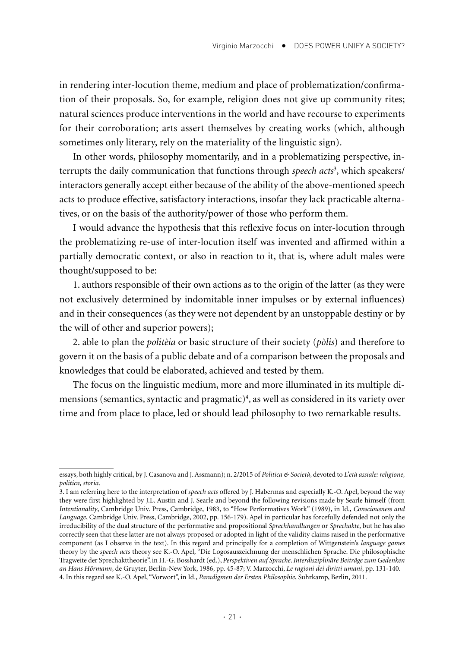in rendering inter-locution theme, medium and place of problematization/confirmation of their proposals. So, for example, religion does not give up community rites; natural sciences produce interventions in the world and have recourse to experiments for their corroboration; arts assert themselves by creating works (which, although sometimes only literary, rely on the materiality of the linguistic sign).

In other words, philosophy momentarily, and in a problematizing perspective, interrupts the daily communication that functions through *speech acts*<sup>3</sup> , which speakers/ interactors generally accept either because of the ability of the above-mentioned speech acts to produce effective, satisfactory interactions, insofar they lack practicable alternatives, or on the basis of the authority/power of those who perform them.

I would advance the hypothesis that this reflexive focus on inter-locution through the problematizing re-use of inter-locution itself was invented and affirmed within a partially democratic context, or also in reaction to it, that is, where adult males were thought/supposed to be:

1. authors responsible of their own actions as to the origin of the latter (as they were not exclusively determined by indomitable inner impulses or by external influences) and in their consequences (as they were not dependent by an unstoppable destiny or by the will of other and superior powers);

2. able to plan the *politèia* or basic structure of their society (*pòlis*) and therefore to govern it on the basis of a public debate and of a comparison between the proposals and knowledges that could be elaborated, achieved and tested by them.

The focus on the linguistic medium, more and more illuminated in its multiple dimensions (semantics, syntactic and pragmatic)4 , as well as considered in its variety over time and from place to place, led or should lead philosophy to two remarkable results.

essays, both highly critical, by J. Casanova and J. Assmann); n. 2/2015 of *Politica & Società*, devoted to *L'età assiale: religione, politica, storia*.

<sup>3.</sup> I am referring here to the interpretation of *speech acts* offered by J. Habermas and especially K.-O. Apel, beyond the way they were first highlighted by J.L. Austin and J. Searle and beyond the following revisions made by Searle himself (from *Intentionality*, Cambridge Univ. Press, Cambridge, 1983, to "How Performatives Work" (1989), in Id., *Consciousness and Language*, Cambridge Univ. Press, Cambridge, 2002, pp. 156-179). Apel in particular has forcefully defended not only the irreducibility of the dual structure of the performative and propositional *Sprechhandlungen* or *Sprechakte*, but he has also correctly seen that these latter are not always proposed or adopted in light of the validity claims raised in the performative component (as I observe in the text). In this regard and principally for a completion of Wittgenstein's *language games* theory by the *speech acts* theory see K.-O. Apel, "Die Logosauszeichnung der menschlichen Sprache. Die philosophische Tragweite der Sprechakttheorie", in H.-G. Bosshardt (ed.), *Perspektiven auf Sprache*. *Interdisziplinäre Beiträge zum Gedenken an Hans Hörmann*, de Gruyter, Berlin-New York, 1986, pp. 45-87; V. Marzocchi, *Le ragioni dei diritti umani*, pp. 131-140. 4. In this regard see K.-O. Apel, "Vorwort", in Id., *Paradigmen der Ersten Philosophie*, Suhrkamp, Berlin, 2011.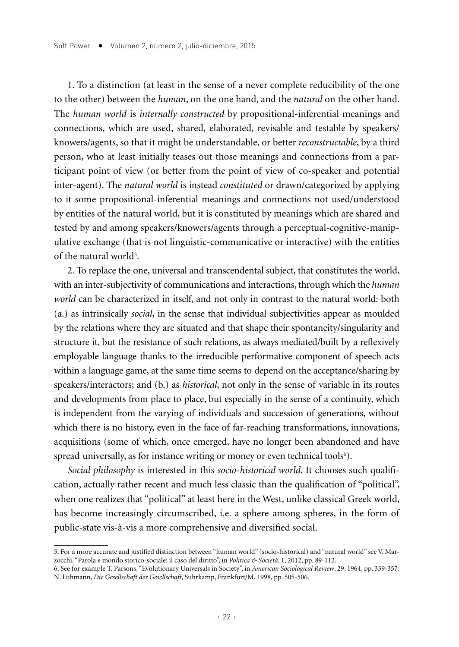1. To a distinction (at least in the sense of a never complete reducibility of the one to the other) between the *human*, on the one hand, and the *natural* on the other hand. The *human world* is *internally constructed* by propositional-inferential meanings and connections, which are used, shared, elaborated, revisable and testable by speakers/ knowers/agents, so that it might be understandable, or better *reconstructable*, by a third person, who at least initially teases out those meanings and connections from a participant point of view (or better from the point of view of co-speaker and potential inter-agent). The *natural world* is instead *constituted* or drawn/categorized by applying to it some propositional-inferential meanings and connections not used/understood by entities of the natural world, but it is constituted by meanings which are shared and tested by and among speakers/knowers/agents through a perceptual-cognitive-manipulative exchange (that is not linguistic-communicative or interactive) with the entities of the natural world<sup>5</sup>.

2. To replace the one, universal and transcendental subject, that constitutes the world, with an inter-subjectivity of communications and interactions, through which the *human world* can be characterized in itself, and not only in contrast to the natural world: both (a.) as intrinsically *social*, in the sense that individual subjectivities appear as moulded by the relations where they are situated and that shape their spontaneity/singularity and structure it, but the resistance of such relations, as always mediated/built by a reflexively employable language thanks to the irreducible performative component of speech acts within a language game, at the same time seems to depend on the acceptance/sharing by speakers/interactors; and (b.) as *historical*, not only in the sense of variable in its routes and developments from place to place, but especially in the sense of a continuity, which is independent from the varying of individuals and succession of generations, without which there is no history, even in the face of far-reaching transformations, innovations, acquisitions (some of which, once emerged, have no longer been abandoned and have spread universally, as for instance writing or money or even technical tools<sup>6</sup>).

*Social philosophy* is interested in this *socio-historical world*. It chooses such qualification, actually rather recent and much less classic than the qualification of "political", when one realizes that "political" at least here in the West, unlike classical Greek world, has become increasingly circumscribed, i.e. a sphere among spheres, in the form of public-state vis-à-vis a more comprehensive and diversified social.

<sup>5.</sup> For a more accurate and justified distinction between "human world" (socio-historical) and "natural world" see V. Marzocchi, "Parola e mondo storico-sociale: il caso del diritto", in *Politica & Società*, 1, 2012, pp. 89-112.

<sup>6.</sup> See for example T. Parsons, "Evolutionary Universals in Society", in *American Sociological Review*, 29, 1964, pp. 339-357; N. Luhmann, *Die Gesellschaft der Gesellschaft*, Suhrkamp, Frankfurt/M, 1998, pp. 505-506.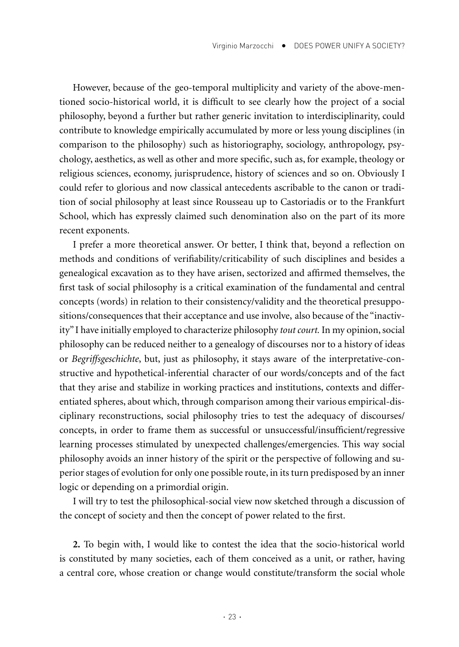However, because of the geo-temporal multiplicity and variety of the above-mentioned socio-historical world, it is difficult to see clearly how the project of a social philosophy, beyond a further but rather generic invitation to interdisciplinarity, could contribute to knowledge empirically accumulated by more or less young disciplines (in comparison to the philosophy) such as historiography, sociology, anthropology, psychology, aesthetics, as well as other and more specific, such as, for example, theology or religious sciences, economy, jurisprudence, history of sciences and so on. Obviously I could refer to glorious and now classical antecedents ascribable to the canon or tradition of social philosophy at least since Rousseau up to Castoriadis or to the Frankfurt School, which has expressly claimed such denomination also on the part of its more recent exponents.

I prefer a more theoretical answer. Or better, I think that, beyond a reflection on methods and conditions of verifiability/criticability of such disciplines and besides a genealogical excavation as to they have arisen, sectorized and affirmed themselves, the first task of social philosophy is a critical examination of the fundamental and central concepts (words) in relation to their consistency/validity and the theoretical presuppositions/consequences that their acceptance and use involve, also because of the "inactivity" I have initially employed to characterize philosophy *tout court.* In my opinion, social philosophy can be reduced neither to a genealogy of discourses nor to a history of ideas or *Begriffsgeschichte*, but, just as philosophy, it stays aware of the interpretative-constructive and hypothetical-inferential character of our words/concepts and of the fact that they arise and stabilize in working practices and institutions, contexts and differentiated spheres, about which, through comparison among their various empirical-disciplinary reconstructions, social philosophy tries to test the adequacy of discourses/ concepts, in order to frame them as successful or unsuccessful/insufficient/regressive learning processes stimulated by unexpected challenges/emergencies. This way social philosophy avoids an inner history of the spirit or the perspective of following and superior stages of evolution for only one possible route, in its turn predisposed by an inner logic or depending on a primordial origin.

I will try to test the philosophical-social view now sketched through a discussion of the concept of society and then the concept of power related to the first.

**2.** To begin with, I would like to contest the idea that the socio-historical world is constituted by many societies, each of them conceived as a unit, or rather, having a central core, whose creation or change would constitute/transform the social whole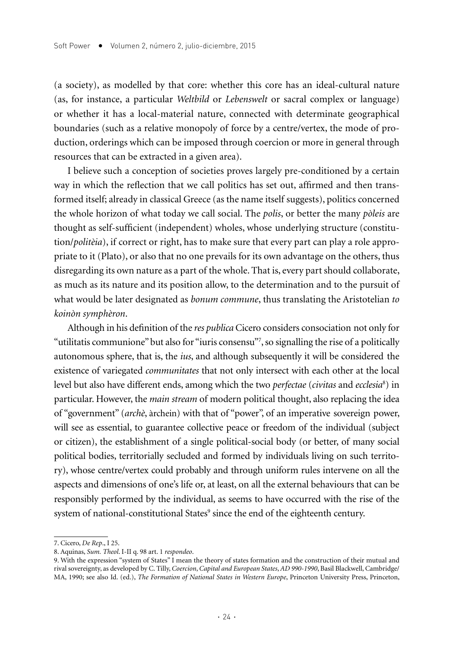(a society), as modelled by that core: whether this core has an ideal-cultural nature (as, for instance, a particular *Weltbild* or *Lebenswelt* or sacral complex or language) or whether it has a local-material nature, connected with determinate geographical boundaries (such as a relative monopoly of force by a centre/vertex, the mode of production, orderings which can be imposed through coercion or more in general through resources that can be extracted in a given area).

I believe such a conception of societies proves largely pre-conditioned by a certain way in which the reflection that we call politics has set out, affirmed and then transformed itself; already in classical Greece (as the name itself suggests), politics concerned the whole horizon of what today we call social. The *polis*, or better the many *pòleis* are thought as self-sufficient (independent) wholes, whose underlying structure (constitution/*politèia*), if correct or right, has to make sure that every part can play a role appropriate to it (Plato), or also that no one prevails for its own advantage on the others, thus disregarding its own nature as a part of the whole. That is, every part should collaborate, as much as its nature and its position allow, to the determination and to the pursuit of what would be later designated as *bonum commune*, thus translating the Aristotelian *to koinòn symphèron*.

Although in his definition of the *res publica* Cicero considers consociation not only for "utilitatis communione" but also for "iuris consensu"7 , so signalling the rise of a politically autonomous sphere, that is, the *ius*, and although subsequently it will be considered the existence of variegated *communitates* that not only intersect with each other at the local level but also have different ends, among which the two *perfectae* (*civitas* and *ecclesia*<sup>8</sup> ) in particular. However, the *main stream* of modern political thought, also replacing the idea of "government" (*archè*, àrchein) with that of "power", of an imperative sovereign power, will see as essential, to guarantee collective peace or freedom of the individual (subject or citizen), the establishment of a single political-social body (or better, of many social political bodies, territorially secluded and formed by individuals living on such territory), whose centre/vertex could probably and through uniform rules intervene on all the aspects and dimensions of one's life or, at least, on all the external behaviours that can be responsibly performed by the individual, as seems to have occurred with the rise of the system of national-constitutional States $^9$  since the end of the eighteenth century.

<sup>7.</sup> Cicero, *De Rep*., I 25.

<sup>8.</sup> Aquinas, *Sum. Theol*. I-II q. 98 art. 1 *respondeo*.

<sup>9.</sup> With the expression "system of States" I mean the theory of states formation and the construction of their mutual and rival sovereignty, as developed by C. Tilly, *Coercion*, *Capital and European States*, *AD 990-1990*, Basil Blackwell, Cambridge/ MA, 1990; see also Id. (ed.), *The Formation of National States in Western Europe*, Princeton University Press, Princeton,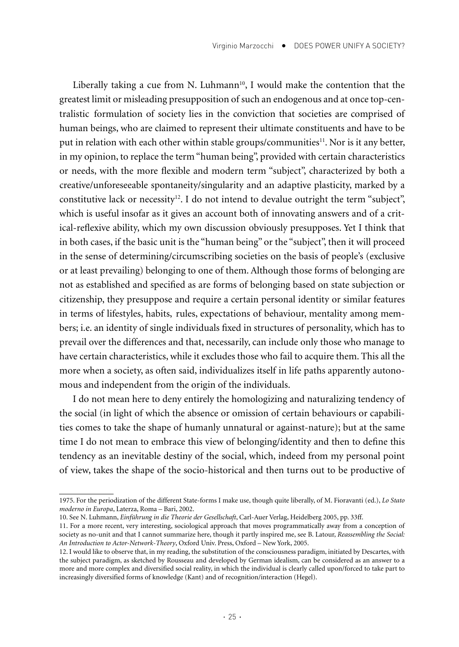Liberally taking a cue from N. Luhmann<sup>10</sup>, I would make the contention that the greatest limit or misleading presupposition of such an endogenous and at once top-centralistic formulation of society lies in the conviction that societies are comprised of human beings, who are claimed to represent their ultimate constituents and have to be put in relation with each other within stable groups/communities<sup>11</sup>. Nor is it any better, in my opinion, to replace the term "human being", provided with certain characteristics or needs, with the more flexible and modern term "subject", characterized by both a creative/unforeseeable spontaneity/singularity and an adaptive plasticity, marked by a constitutive lack or necessity<sup>12</sup>. I do not intend to devalue outright the term "subject", which is useful insofar as it gives an account both of innovating answers and of a critical-reflexive ability, which my own discussion obviously presupposes. Yet I think that in both cases, if the basic unit is the "human being" or the "subject", then it will proceed in the sense of determining/circumscribing societies on the basis of people's (exclusive or at least prevailing) belonging to one of them. Although those forms of belonging are not as established and specified as are forms of belonging based on state subjection or citizenship, they presuppose and require a certain personal identity or similar features in terms of lifestyles, habits, rules, expectations of behaviour, mentality among members; i.e. an identity of single individuals fixed in structures of personality, which has to prevail over the differences and that, necessarily, can include only those who manage to have certain characteristics, while it excludes those who fail to acquire them. This all the more when a society, as often said, individualizes itself in life paths apparently autonomous and independent from the origin of the individuals.

I do not mean here to deny entirely the homologizing and naturalizing tendency of the social (in light of which the absence or omission of certain behaviours or capabilities comes to take the shape of humanly unnatural or against-nature); but at the same time I do not mean to embrace this view of belonging/identity and then to define this tendency as an inevitable destiny of the social, which, indeed from my personal point of view, takes the shape of the socio-historical and then turns out to be productive of

<sup>1975.</sup> For the periodization of the different State-forms I make use, though quite liberally, of M. Fioravanti (ed.), *Lo Stato moderno in Europa*, Laterza, Roma – Bari, 2002.

<sup>10.</sup> See N. Luhmann, *Einführung in die Theorie der Gesellschaft*, Carl-Auer Verlag, Heidelberg 2005, pp. 33ff.

<sup>11.</sup> For a more recent, very interesting, sociological approach that moves programmatically away from a conception of society as no-unit and that I cannot summarize here, though it partly inspired me, see B. Latour, *Reassembling the Social: An Introduction to Actor-Network-Theory*, Oxford Univ. Press, Oxford – New York, 2005.

<sup>12.</sup> I would like to observe that, in my reading, the substitution of the consciousness paradigm, initiated by Descartes, with the subject paradigm, as sketched by Rousseau and developed by German idealism, can be considered as an answer to a more and more complex and diversified social reality, in which the individual is clearly called upon/forced to take part to increasingly diversified forms of knowledge (Kant) and of recognition/interaction (Hegel).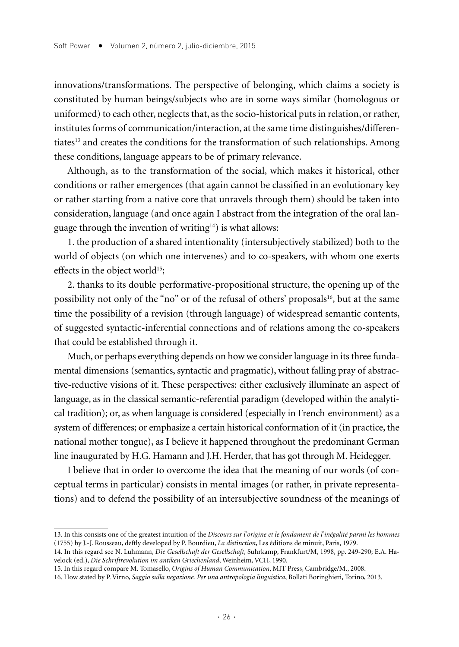innovations/transformations. The perspective of belonging, which claims a society is constituted by human beings/subjects who are in some ways similar (homologous or uniformed) to each other, neglects that, as the socio-historical puts in relation, or rather, institutes forms of communication/interaction, at the same time distinguishes/differentiates<sup>13</sup> and creates the conditions for the transformation of such relationships. Among these conditions, language appears to be of primary relevance.

Although, as to the transformation of the social, which makes it historical, other conditions or rather emergences (that again cannot be classified in an evolutionary key or rather starting from a native core that unravels through them) should be taken into consideration, language (and once again I abstract from the integration of the oral language through the invention of writing $14$ ) is what allows:

1. the production of a shared intentionality (intersubjectively stabilized) both to the world of objects (on which one intervenes) and to co-speakers, with whom one exerts effects in the object world<sup>15</sup>;

2. thanks to its double performative-propositional structure, the opening up of the possibility not only of the "no" or of the refusal of others' proposals<sup>16</sup>, but at the same time the possibility of a revision (through language) of widespread semantic contents, of suggested syntactic-inferential connections and of relations among the co-speakers that could be established through it.

Much, or perhaps everything depends on how we consider language in its three fundamental dimensions (semantics, syntactic and pragmatic), without falling pray of abstractive-reductive visions of it. These perspectives: either exclusively illuminate an aspect of language, as in the classical semantic-referential paradigm (developed within the analytical tradition); or, as when language is considered (especially in French environment) as a system of differences; or emphasize a certain historical conformation of it (in practice, the national mother tongue), as I believe it happened throughout the predominant German line inaugurated by H.G. Hamann and J.H. Herder, that has got through M. Heidegger.

I believe that in order to overcome the idea that the meaning of our words (of conceptual terms in particular) consists in mental images (or rather, in private representations) and to defend the possibility of an intersubjective soundness of the meanings of

<sup>13.</sup> In this consists one of the greatest intuition of the *Discours sur l'origine et le fondament de l'inégalité parmi les hommes*  (1755) by J.-J. Rousseau, deftly developed by P. Bourdieu, *La distinction*, Les éditions de minuit, Paris, 1979.

<sup>14.</sup> In this regard see N. Luhmann, *Die Gesellschaft der Gesellschaft*, Suhrkamp, Frankfurt/M, 1998, pp. 249-290; E.A. Havelock (ed.), *Die Schriftrevolution im antiken Griechenland*, Weinheim, VCH, 1990.

<sup>15.</sup> In this regard compare M. Tomasello, *Origins of Human Communication*, MIT Press, Cambridge/M., 2008.

<sup>16.</sup> How stated by P. Virno, *Saggio sulla negazione. Per una antropologia linguistica*, Bollati Boringhieri, Torino, 2013.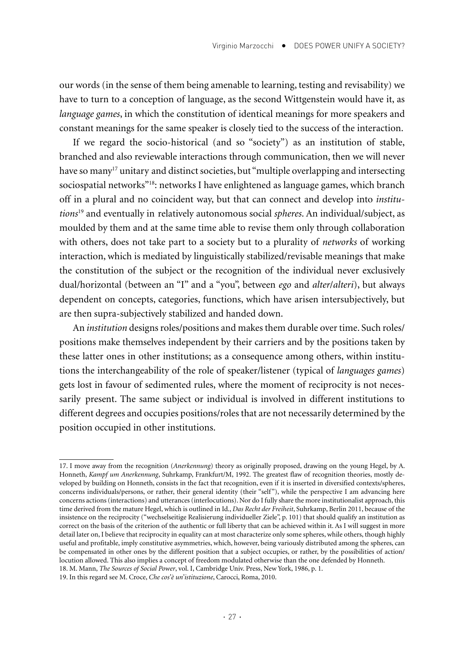our words (in the sense of them being amenable to learning, testing and revisability) we have to turn to a conception of language, as the second Wittgenstein would have it, as *language games*, in which the constitution of identical meanings for more speakers and constant meanings for the same speaker is closely tied to the success of the interaction.

If we regard the socio-historical (and so "society") as an institution of stable, branched and also reviewable interactions through communication, then we will never have so many<sup>17</sup> unitary and distinct societies, but "multiple overlapping and intersecting sociospatial networks"18: networks I have enlightened as language games, which branch off in a plural and no coincident way, but that can connect and develop into *institutions*19 and eventually in relatively autonomous social *spheres*. An individual/subject, as moulded by them and at the same time able to revise them only through collaboration with others, does not take part to a society but to a plurality of *networks* of working interaction, which is mediated by linguistically stabilized/revisable meanings that make the constitution of the subject or the recognition of the individual never exclusively dual/horizontal (between an "I" and a "you", between *ego* and *alter*/*alteri*), but always dependent on concepts, categories, functions, which have arisen intersubjectively, but are then supra-subjectively stabilized and handed down.

An *institution* designs roles/positions and makes them durable over time. Such roles/ positions make themselves independent by their carriers and by the positions taken by these latter ones in other institutions; as a consequence among others, within institutions the interchangeability of the role of speaker/listener (typical of *languages games*) gets lost in favour of sedimented rules, where the moment of reciprocity is not necessarily present. The same subject or individual is involved in different institutions to different degrees and occupies positions/roles that are not necessarily determined by the position occupied in other institutions.

<sup>17.</sup> I move away from the recognition (*Anerkennung*) theory as originally proposed, drawing on the young Hegel, by A. Honneth, *Kampf um Anerkennung*, Suhrkamp, Frankfurt/M, 1992. The greatest flaw of recognition theories, mostly developed by building on Honneth, consists in the fact that recognition, even if it is inserted in diversified contexts/spheres, concerns individuals/persons, or rather, their general identity (their "self"), while the perspective I am advancing here concerns actions (interactions) and utterances (interlocutions). Nor do I fully share the more institutionalist approach, this time derived from the mature Hegel, which is outlined in Id., *Das Recht der Freiheit*, Suhrkamp, Berlin 2011, because of the insistence on the reciprocity ("wechselseitige Realisierung individueller Ziele", p. 101) that should qualify an institution as correct on the basis of the criterion of the authentic or full liberty that can be achieved within it. As I will suggest in more detail later on, I believe that reciprocity in equality can at most characterize only some spheres, while others, though highly useful and profitable, imply constitutive asymmetries, which, however, being variously distributed among the spheres, can be compensated in other ones by the different position that a subject occupies, or rather, by the possibilities of action/ locution allowed. This also implies a concept of freedom modulated otherwise than the one defended by Honneth.

<sup>18.</sup> M. Mann, *The Sources of Social Power*, vol. I, Cambridge Univ. Press, New York, 1986, p. 1.

<sup>19.</sup> In this regard see M. Croce, *Che cos'è un'istituzione*, Carocci, Roma, 2010.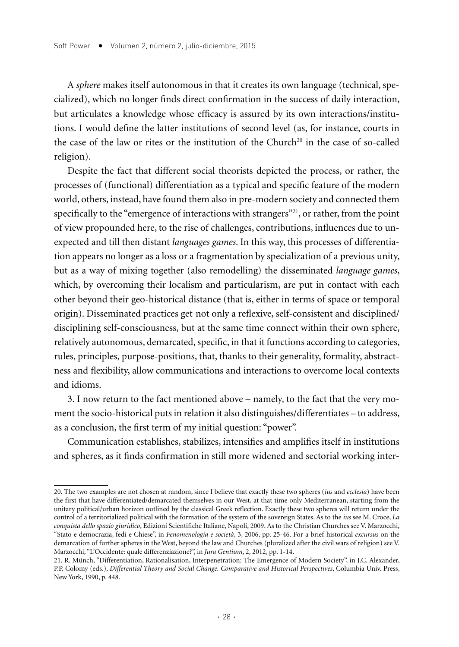A *sphere* makes itself autonomous in that it creates its own language (technical, specialized), which no longer finds direct confirmation in the success of daily interaction, but articulates a knowledge whose efficacy is assured by its own interactions/institutions. I would define the latter institutions of second level (as, for instance, courts in the case of the law or rites or the institution of the Church<sup>20</sup> in the case of so-called religion).

Despite the fact that different social theorists depicted the process, or rather, the processes of (functional) differentiation as a typical and specific feature of the modern world, others, instead, have found them also in pre-modern society and connected them specifically to the "emergence of interactions with strangers"<sup>21</sup>, or rather, from the point of view propounded here, to the rise of challenges, contributions, influences due to unexpected and till then distant *languages games*. In this way, this processes of differentiation appears no longer as a loss or a fragmentation by specialization of a previous unity, but as a way of mixing together (also remodelling) the disseminated *language games*, which, by overcoming their localism and particularism, are put in contact with each other beyond their geo-historical distance (that is, either in terms of space or temporal origin). Disseminated practices get not only a reflexive, self-consistent and disciplined/ disciplining self-consciousness, but at the same time connect within their own sphere, relatively autonomous, demarcated, specific, in that it functions according to categories, rules, principles, purpose-positions, that, thanks to their generality, formality, abstractness and flexibility, allow communications and interactions to overcome local contexts and idioms.

3. I now return to the fact mentioned above – namely, to the fact that the very moment the socio-historical puts in relation it also distinguishes/differentiates – to address, as a conclusion, the first term of my initial question: "power".

Communication establishes, stabilizes, intensifies and amplifies itself in institutions and spheres, as it finds confirmation in still more widened and sectorial working inter-

<sup>20.</sup> The two examples are not chosen at random, since I believe that exactly these two spheres (*ius* and *ecclesia*) have been the first that have differentiated/demarcated themselves in our West, at that time only Mediterranean, starting from the unitary political/urban horizon outlined by the classical Greek reflection. Exactly these two spheres will return under the control of a territorialized political with the formation of the system of the sovereign States. As to the *ius* see M. Croce, *La conquista dello spazio giuridico*, Edizioni Scientifiche Italiane, Napoli, 2009. As to the Christian Churches see V. Marzocchi, "Stato e democrazia, fedi e Chiese", in *Fenomenologia e società*, 3, 2006, pp. 25-46. For a brief historical *excursus* on the demarcation of further spheres in the West, beyond the law and Churches (pluralized after the civil wars of religion) see V. Marzocchi, "L'Occidente: quale differenziazione?", in *Jura Gentium*, 2, 2012, pp. 1-14.

<sup>21.</sup> R. Münch, "Differentiation, Rationalisation, Interpenetration: The Emergence of Modern Society", in J.C. Alexander, P.P. Colomy (eds.), *Differential Theory and Social Change. Comparative and Historical Perspectives*, Columbia Univ. Press, New York, 1990, p. 448.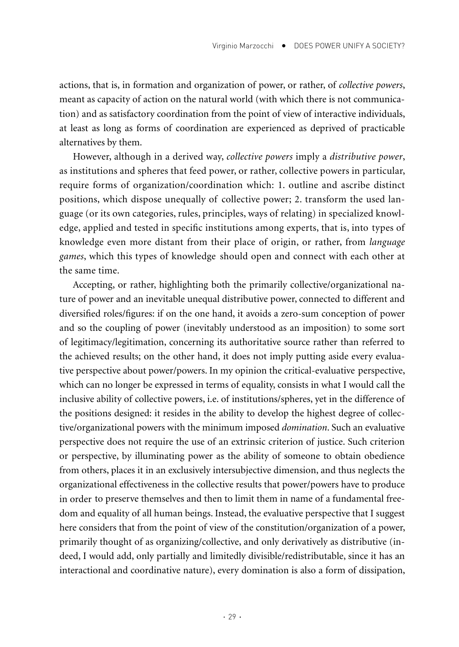actions, that is, in formation and organization of power, or rather, of *collective powers*, meant as capacity of action on the natural world (with which there is not communication) and as satisfactory coordination from the point of view of interactive individuals, at least as long as forms of coordination are experienced as deprived of practicable alternatives by them.

However, although in a derived way, *collective powers* imply a *distributive power*, as institutions and spheres that feed power, or rather, collective powers in particular, require forms of organization/coordination which: 1. outline and ascribe distinct positions, which dispose unequally of collective power; 2. transform the used language (or its own categories, rules, principles, ways of relating) in specialized knowledge, applied and tested in specific institutions among experts, that is, into types of knowledge even more distant from their place of origin, or rather, from *language games*, which this types of knowledge should open and connect with each other at the same time.

Accepting, or rather, highlighting both the primarily collective/organizational nature of power and an inevitable unequal distributive power, connected to different and diversified roles/figures: if on the one hand, it avoids a zero-sum conception of power and so the coupling of power (inevitably understood as an imposition) to some sort of legitimacy/legitimation, concerning its authoritative source rather than referred to the achieved results; on the other hand, it does not imply putting aside every evaluative perspective about power/powers. In my opinion the critical-evaluative perspective, which can no longer be expressed in terms of equality, consists in what I would call the inclusive ability of collective powers, i.e. of institutions/spheres, yet in the difference of the positions designed: it resides in the ability to develop the highest degree of collective/organizational powers with the minimum imposed *domination*. Such an evaluative perspective does not require the use of an extrinsic criterion of justice. Such criterion or perspective, by illuminating power as the ability of someone to obtain obedience from others, places it in an exclusively intersubjective dimension, and thus neglects the organizational effectiveness in the collective results that power/powers have to produce in order to preserve themselves and then to limit them in name of a fundamental freedom and equality of all human beings. Instead, the evaluative perspective that I suggest here considers that from the point of view of the constitution/organization of a power, primarily thought of as organizing/collective, and only derivatively as distributive (indeed, I would add, only partially and limitedly divisible/redistributable, since it has an interactional and coordinative nature), every domination is also a form of dissipation,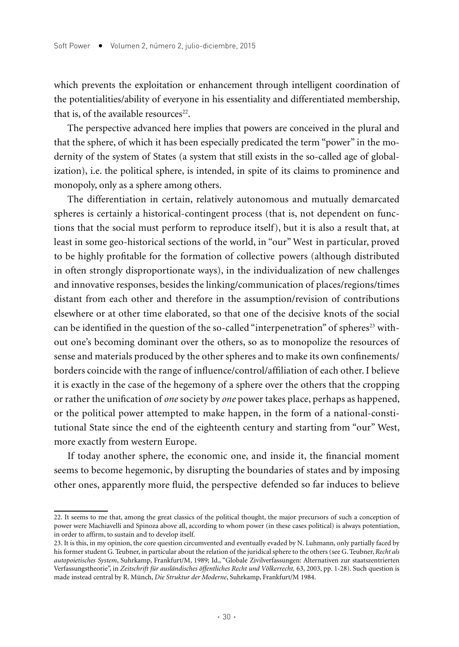which prevents the exploitation or enhancement through intelligent coordination of the potentialities/ability of everyone in his essentiality and differentiated membership, that is, of the available resources $22$ .

The perspective advanced here implies that powers are conceived in the plural and that the sphere, of which it has been especially predicated the term "power" in the modernity of the system of States (a system that still exists in the so-called age of globalization), i.e. the political sphere, is intended, in spite of its claims to prominence and monopoly, only as a sphere among others.

The differentiation in certain, relatively autonomous and mutually demarcated spheres is certainly a historical-contingent process (that is, not dependent on functions that the social must perform to reproduce itself), but it is also a result that, at least in some geo-historical sections of the world, in "our" West in particular, proved to be highly profitable for the formation of collective powers (although distributed in often strongly disproportionate ways), in the individualization of new challenges and innovative responses, besides the linking/communication of places/regions/times distant from each other and therefore in the assumption/revision of contributions elsewhere or at other time elaborated, so that one of the decisive knots of the social can be identified in the question of the so-called "interpenetration" of spheres<sup>23</sup> without one's becoming dominant over the others, so as to monopolize the resources of sense and materials produced by the other spheres and to make its own confinements/ borders coincide with the range of influence/control/affiliation of each other. I believe it is exactly in the case of the hegemony of a sphere over the others that the cropping or rather the unification of *one* society by *one* power takes place, perhaps as happened, or the political power attempted to make happen, in the form of a national-constitutional State since the end of the eighteenth century and starting from "our" West, more exactly from western Europe.

If today another sphere, the economic one, and inside it, the financial moment seems to become hegemonic, by disrupting the boundaries of states and by imposing other ones, apparently more fluid, the perspective defended so far induces to believe

<sup>22.</sup> It seems to me that, among the great classics of the political thought, the major precursors of such a conception of power were Machiavelli and Spinoza above all, according to whom power (in these cases political) is always potentiation, in order to affirm, to sustain and to develop itself.

<sup>23.</sup> It is this, in my opinion, the core question circumvented and eventually evaded by N. Luhmann, only partially faced by his former student G. Teubner, in particular about the relation of the juridical sphere to the others (see G. Teubner, *Recht als autopoietisches System*, Suhrkamp, Frankfurt/M, 1989; Id., "Globale Zivilverfassungen: Alternativen zur staatszentrierten Verfassungstheorie", in *Zeitschrift für ausländisches öffentliches Recht und Völkerrecht,* 63, 2003, pp. 1-28). Such question is made instead central by R. Münch, *Die Struktur der Moderne*, Suhrkamp, Frankfurt/M 1984.